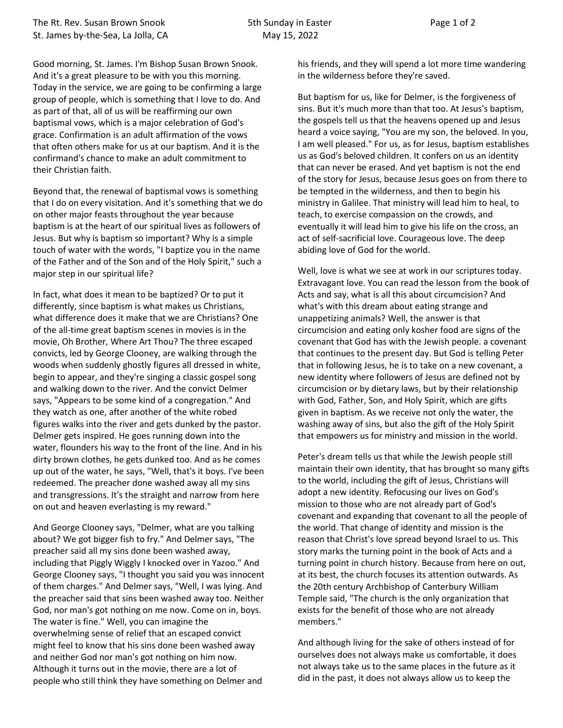Good morning, St. James. I'm Bishop Susan Brown Snook. And it's a great pleasure to be with you this morning. Today in the service, we are going to be confirming a large group of people, which is something that I love to do. And as part of that, all of us will be reaffirming our own baptismal vows, which is a major celebration of God's grace. Confirmation is an adult affirmation of the vows that often others make for us at our baptism. And it is the confirmand's chance to make an adult commitment to their Christian faith.

Beyond that, the renewal of baptismal vows is something that I do on every visitation. And it's something that we do on other major feasts throughout the year because baptism is at the heart of our spiritual lives as followers of Jesus. But why is baptism so important? Why is a simple touch of water with the words, "I baptize you in the name of the Father and of the Son and of the Holy Spirit," such a major step in our spiritual life?

In fact, what does it mean to be baptized? Or to put it differently, since baptism is what makes us Christians, what difference does it make that we are Christians? One of the all-time great baptism scenes in movies is in the movie, Oh Brother, Where Art Thou? The three escaped convicts, led by George Clooney, are walking through the woods when suddenly ghostly figures all dressed in white, begin to appear, and they're singing a classic gospel song and walking down to the river. And the convict Delmer says, "Appears to be some kind of a congregation." And they watch as one, after another of the white robed figures walks into the river and gets dunked by the pastor. Delmer gets inspired. He goes running down into the water, flounders his way to the front of the line. And in his dirty brown clothes, he gets dunked too. And as he comes up out of the water, he says, "Well, that's it boys. I've been redeemed. The preacher done washed away all my sins and transgressions. It's the straight and narrow from here on out and heaven everlasting is my reward."

And George Clooney says, "Delmer, what are you talking about? We got bigger fish to fry." And Delmer says, "The preacher said all my sins done been washed away, including that Piggly Wiggly I knocked over in Yazoo." And George Clooney says, "I thought you said you was innocent of them charges." And Delmer says, "Well, I was lying. And the preacher said that sins been washed away too. Neither God, nor man's got nothing on me now. Come on in, boys. The water is fine." Well, you can imagine the overwhelming sense of relief that an escaped convict might feel to know that his sins done been washed away and neither God nor man's got nothing on him now. Although it turns out in the movie, there are a lot of people who still think they have something on Delmer and

his friends, and they will spend a lot more time wandering in the wilderness before they're saved.

But baptism for us, like for Delmer, is the forgiveness of sins. But it's much more than that too. At Jesus's baptism, the gospels tell us that the heavens opened up and Jesus heard a voice saying, "You are my son, the beloved. In you, I am well pleased." For us, as for Jesus, baptism establishes us as God's beloved children. It confers on us an identity that can never be erased. And yet baptism is not the end of the story for Jesus, because Jesus goes on from there to be tempted in the wilderness, and then to begin his ministry in Galilee. That ministry will lead him to heal, to teach, to exercise compassion on the crowds, and eventually it will lead him to give his life on the cross, an act of self-sacrificial love. Courageous love. The deep abiding love of God for the world.

Well, love is what we see at work in our scriptures today. Extravagant love. You can read the lesson from the book of Acts and say, what is all this about circumcision? And what's with this dream about eating strange and unappetizing animals? Well, the answer is that circumcision and eating only kosher food are signs of the covenant that God has with the Jewish people. a covenant that continues to the present day. But God is telling Peter that in following Jesus, he is to take on a new covenant, a new identity where followers of Jesus are defined not by circumcision or by dietary laws, but by their relationship with God, Father, Son, and Holy Spirit, which are gifts given in baptism. As we receive not only the water, the washing away of sins, but also the gift of the Holy Spirit that empowers us for ministry and mission in the world.

Peter's dream tells us that while the Jewish people still maintain their own identity, that has brought so many gifts to the world, including the gift of Jesus, Christians will adopt a new identity. Refocusing our lives on God's mission to those who are not already part of God's covenant and expanding that covenant to all the people of the world. That change of identity and mission is the reason that Christ's love spread beyond Israel to us. This story marks the turning point in the book of Acts and a turning point in church history. Because from here on out, at its best, the church focuses its attention outwards. As the 20th century Archbishop of Canterbury William Temple said, "The church is the only organization that exists for the benefit of those who are not already members."

And although living for the sake of others instead of for ourselves does not always make us comfortable, it does not always take us to the same places in the future as it did in the past, it does not always allow us to keep the